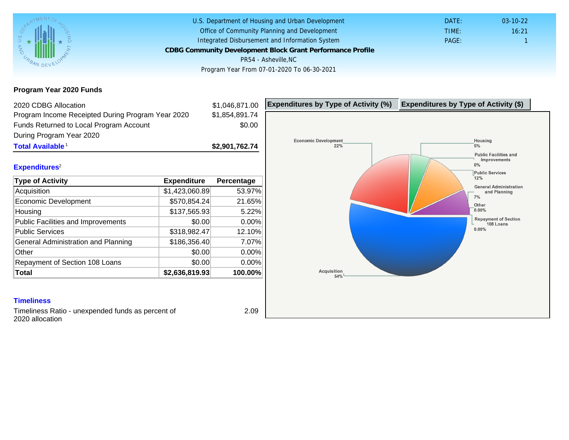Program Year 2020 Funds

| 2020 CDBG Allocation                              |                | \$1,046,871.00 | Expenditures by Type of Activity (%) | Expenditure |
|---------------------------------------------------|----------------|----------------|--------------------------------------|-------------|
| Program Income Receipted During Program Year 2020 |                | \$1,854,891.74 |                                      |             |
| Funds Returned to Local Program Account           |                | \$0.00         |                                      |             |
| During Program Year 2020                          |                |                |                                      |             |
| Total Available <sup>1</sup>                      |                | \$2,901,762.74 |                                      |             |
| Expenditures <sup>2</sup>                         |                |                |                                      |             |
| Type of Activity                                  | Expenditure    | Percentage     |                                      |             |
| Acquisition                                       | \$1,423,060.89 | 53.97%         |                                      |             |
| Economic Development                              | \$570,854.24   | 21.65%         |                                      |             |
| Housing                                           | \$137,565.93   | 5.22%          |                                      |             |
| Public Facilities and Improvements                | \$0.00         | $0.00\%$       |                                      |             |
| <b>Public Services</b>                            | \$318,982.47   | 12.10%         |                                      |             |
| General Administration and Planning               | \$186,356.40   | 7.07%          |                                      |             |
| Other                                             | \$0.00         | 0.00%          |                                      |             |
| Repayment of Section 108 Loans                    | \$0.00         | 0.00%          |                                      |             |
| Total                                             | \$2,636,819.93 | 100.00%        |                                      |             |

### **Timeliness**

Timeliness Ratio - unexpended funds as percent of 2020 allocation

2.09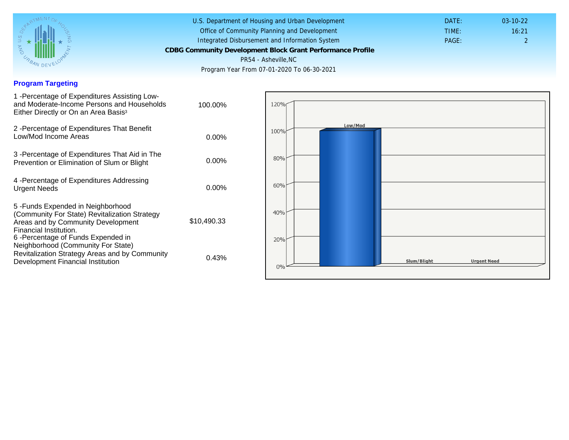## Program Targeting

| 1 - Percentage of Expenditures Assisting Low-<br>and Moderate-Income Persons and Households<br>Either Directly or On an Area Basis <sup>3</sup>                                          | 100.00%     |  |
|------------------------------------------------------------------------------------------------------------------------------------------------------------------------------------------|-------------|--|
| 2 - Percentage of Expenditures That Benefit<br>Low/Mod Income Areas                                                                                                                      | $0.00\%$    |  |
| 3 -Percentage of Expenditures That Aid in The<br>Prevention or Elimination of Slum or Blight                                                                                             | $0.00\%$    |  |
| 4 - Percentage of Expenditures Addressing<br><b>Urgent Needs</b>                                                                                                                         | $0.00\%$    |  |
| 5-Funds Expended in Neighborhood<br>(Community For State) Revitalization Strategy<br>Areas and by Community Development<br>Financial Institution.<br>6 - Percentage of Funds Expended in | \$10,490.33 |  |
| Neighborhood (Community For State)<br>Revitalization Strategy Areas and by Community<br>Development Financial Institution                                                                | 0.43%       |  |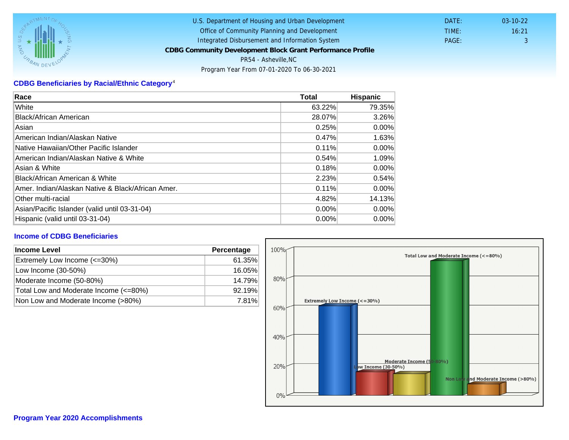# CDBG Beneficiaries by Racial/Ethnic Category <sup>4</sup>

| Race                                              | Total  | Hispanic |
|---------------------------------------------------|--------|----------|
| White                                             | 63.22% | 79.35%   |
| Black/African American                            | 28.07% | 3.26%    |
| Asian                                             | 0.25%  | $0.00\%$ |
| IAmerican Indian/Alaskan Native                   | 0.47%  | 1.63%    |
| lNative Hawaiian/Other Pacific Islander           | 0.11%  | $0.00\%$ |
| American Indian/Alaskan Native & White            | 0.54%  | 1.09%    |
| Asian & White                                     | 0.18%  | 0.00%    |
| Black/African American & White                    | 2.23%  | 0.54%    |
| Amer. Indian/Alaskan Native & Black/African Amer. | 0.11%  | $0.00\%$ |
| <b>Other multi-racial</b>                         | 4.82%  | 14.13%   |
| Asian/Pacific Islander (valid until 03-31-04)     | 0.00%  | 0.00%    |
| Hispanic (valid until 03-31-04)                   | 0.00%  | 0.00%    |

### Income of CDBG Beneficiaries

| Income Level                          | Percentage |  |
|---------------------------------------|------------|--|
| Extremely Low Income (<=30%)          | 61.35%     |  |
| Low Income (30-50%)                   | 16.05%     |  |
| Moderate Income (50-80%)              | 14.79%     |  |
| Total Low and Moderate Income (<=80%) | 92.19%     |  |
| Non Low and Moderate Income (>80%)    | 7.81%      |  |